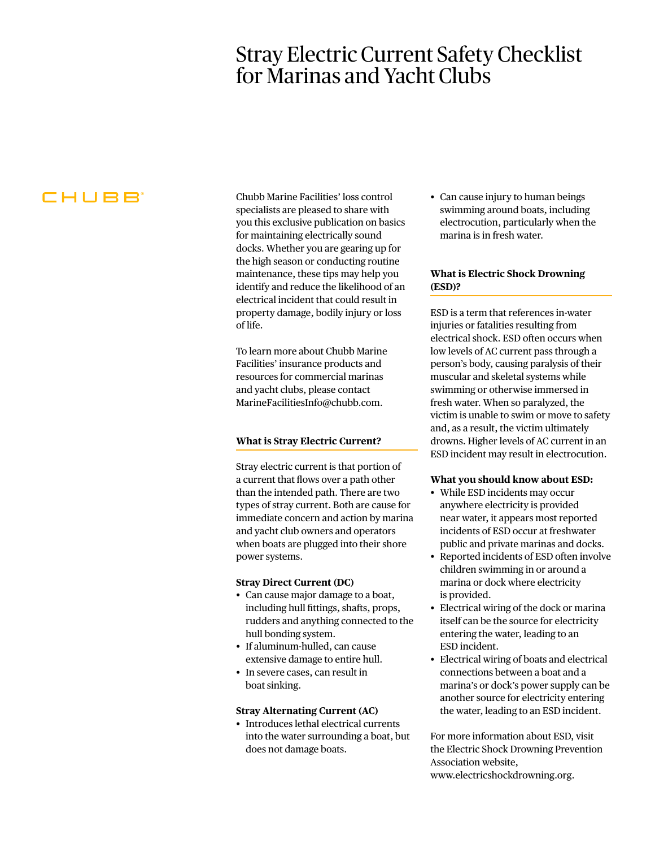# Stray Electric Current Safety Checklist for Marinas and Yacht Clubs

# CHUBB

Chubb Marine Facilities' loss control specialists are pleased to share with you this exclusive publication on basics for maintaining electrically sound docks. Whether you are gearing up for the high season or conducting routine maintenance, these tips may help you identify and reduce the likelihood of an electrical incident that could result in property damage, bodily injury or loss of life.

To learn more about Chubb Marine Facilities' insurance products and resources for commercial marinas and yacht clubs, please contact MarineFacilitiesInfo@chubb.com.

# **What is Stray Electric Current?**

Stray electric current is that portion of a current that flows over a path other than the intended path. There are two types of stray current. Both are cause for immediate concern and action by marina and yacht club owners and operators when boats are plugged into their shore power systems.

### **Stray Direct Current (DC)**

- Can cause major damage to a boat, including hull fittings, shafts, props, rudders and anything connected to the hull bonding system.
- If aluminum-hulled, can cause extensive damage to entire hull.
- In severe cases, can result in boat sinking.

#### **Stray Alternating Current (AC)**

• Introduces lethal electrical currents into the water surrounding a boat, but does not damage boats.

• Can cause injury to human beings swimming around boats, including electrocution, particularly when the marina is in fresh water.

# **What is Electric Shock Drowning (ESD)?**

ESD is a term that references in-water injuries or fatalities resulting from electrical shock. ESD often occurs when low levels of AC current pass through a person's body, causing paralysis of their muscular and skeletal systems while swimming or otherwise immersed in fresh water. When so paralyzed, the victim is unable to swim or move to safety and, as a result, the victim ultimately drowns. Higher levels of AC current in an ESD incident may result in electrocution.

#### **What you should know about ESD:**

- While ESD incidents may occur anywhere electricity is provided near water, it appears most reported incidents of ESD occur at freshwater public and private marinas and docks.
- Reported incidents of ESD often involve children swimming in or around a marina or dock where electricity is provided.
- Electrical wiring of the dock or marina itself can be the source for electricity entering the water, leading to an ESD incident.
- Electrical wiring of boats and electrical connections between a boat and a marina's or dock's power supply can be another source for electricity entering the water, leading to an ESD incident.

For more information about ESD, visit the Electric Shock Drowning Prevention Association website, www.electricshockdrowning.org.